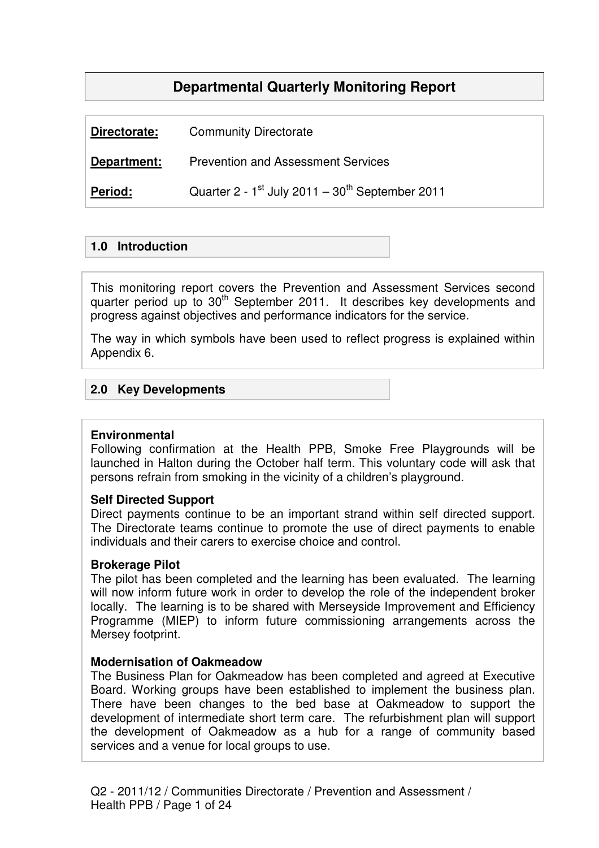# **Departmental Quarterly Monitoring Report**

| Directorate:   | <b>Community Directorate</b>                        |
|----------------|-----------------------------------------------------|
| Department:    | <b>Prevention and Assessment Services</b>           |
| <b>Period:</b> | Quarter 2 - $1st$ July 2011 - $30th$ September 2011 |

## **1.0 Introduction**

This monitoring report covers the Prevention and Assessment Services second quarter period up to  $30<sup>th</sup>$  September 2011. It describes key developments and progress against objectives and performance indicators for the service.

The way in which symbols have been used to reflect progress is explained within Appendix 6.

# **2.0 Key Developments**

#### **Environmental**

Following confirmation at the Health PPB, Smoke Free Playgrounds will be launched in Halton during the October half term. This voluntary code will ask that persons refrain from smoking in the vicinity of a children's playground.

#### **Self Directed Support**

Direct payments continue to be an important strand within self directed support. The Directorate teams continue to promote the use of direct payments to enable individuals and their carers to exercise choice and control.

#### **Brokerage Pilot**

The pilot has been completed and the learning has been evaluated. The learning will now inform future work in order to develop the role of the independent broker locally. The learning is to be shared with Merseyside Improvement and Efficiency Programme (MIEP) to inform future commissioning arrangements across the Mersey footprint.

#### **Modernisation of Oakmeadow**

The Business Plan for Oakmeadow has been completed and agreed at Executive Board. Working groups have been established to implement the business plan. There have been changes to the bed base at Oakmeadow to support the development of intermediate short term care. The refurbishment plan will support the development of Oakmeadow as a hub for a range of community based services and a venue for local groups to use.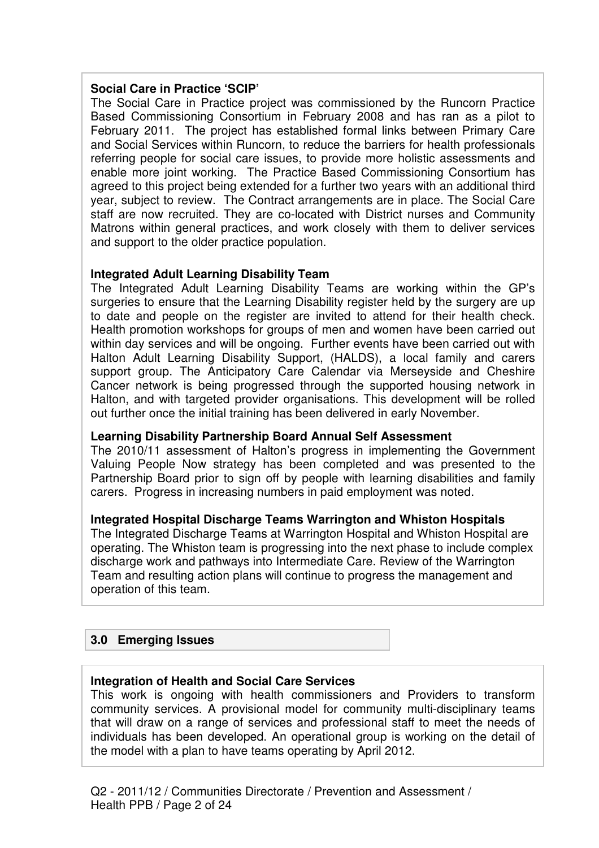## **Social Care in Practice 'SCIP'**

The Social Care in Practice project was commissioned by the Runcorn Practice Based Commissioning Consortium in February 2008 and has ran as a pilot to February 2011. The project has established formal links between Primary Care and Social Services within Runcorn, to reduce the barriers for health professionals referring people for social care issues, to provide more holistic assessments and enable more joint working. The Practice Based Commissioning Consortium has agreed to this project being extended for a further two years with an additional third year, subject to review. The Contract arrangements are in place. The Social Care staff are now recruited. They are co-located with District nurses and Community Matrons within general practices, and work closely with them to deliver services and support to the older practice population.

# **Integrated Adult Learning Disability Team**

The Integrated Adult Learning Disability Teams are working within the GP's surgeries to ensure that the Learning Disability register held by the surgery are up to date and people on the register are invited to attend for their health check. Health promotion workshops for groups of men and women have been carried out within day services and will be ongoing. Further events have been carried out with Halton Adult Learning Disability Support, (HALDS), a local family and carers support group. The Anticipatory Care Calendar via Merseyside and Cheshire Cancer network is being progressed through the supported housing network in Halton, and with targeted provider organisations. This development will be rolled out further once the initial training has been delivered in early November.

#### **Learning Disability Partnership Board Annual Self Assessment**

The 2010/11 assessment of Halton's progress in implementing the Government Valuing People Now strategy has been completed and was presented to the Partnership Board prior to sign off by people with learning disabilities and family carers. Progress in increasing numbers in paid employment was noted.

#### **Integrated Hospital Discharge Teams Warrington and Whiston Hospitals**

The Integrated Discharge Teams at Warrington Hospital and Whiston Hospital are operating. The Whiston team is progressing into the next phase to include complex discharge work and pathways into Intermediate Care. Review of the Warrington Team and resulting action plans will continue to progress the management and operation of this team.

# **3.0 Emerging Issues**

#### **Integration of Health and Social Care Services**

This work is ongoing with health commissioners and Providers to transform community services. A provisional model for community multi-disciplinary teams that will draw on a range of services and professional staff to meet the needs of individuals has been developed. An operational group is working on the detail of the model with a plan to have teams operating by April 2012.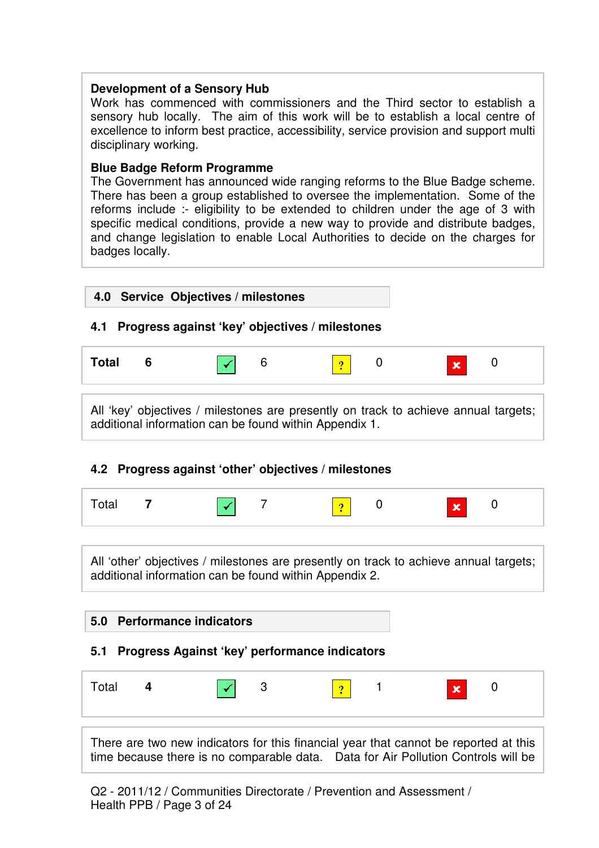## **Development of a Sensory Hub**

Work has commenced with commissioners and the Third sector to establish a sensory hub locally. The aim of this work will be to establish a local centre of excellence to inform best practice, accessibility, service provision and support multi disciplinary working.

## **Blue Badge Reform Programme**

The Government has announced wide ranging reforms to the Blue Badge scheme. There has been a group established to oversee the implementation. Some of the reforms include :- eligibility to be extended to children under the age of 3 with specific medical conditions, provide a new way to provide and distribute badges, and change legislation to enable Local Authorities to decide on the charges for badges locally.

# **4.0 Service Objectives / milestones**

# **4.1 Progress against 'key' objectives / milestones**



All 'key' objectives / milestones are presently on track to achieve annual targets; additional information can be found within Appendix 1.

# **4.2 Progress against 'other' objectives / milestones**

| Total 7 |  | $\sim$ $\sqrt{7}$<br>$\sqrt{2}$ 0 |  | $\vert x \vert = 0$ |
|---------|--|-----------------------------------|--|---------------------|
|         |  |                                   |  |                     |

All 'other' objectives / milestones are presently on track to achieve annual targets; additional information can be found within Appendix 2.

# **5.0 Performance indicators 5.1 Progress Against 'key' performance indicators**

|  | Total | ∼ |  |  | ٠ |  | <b>Rando</b> |  |  |
|--|-------|---|--|--|---|--|--------------|--|--|
|--|-------|---|--|--|---|--|--------------|--|--|

There are two new indicators for this financial year that cannot be reported at this time because there is no comparable data. Data for Air Pollution Controls will be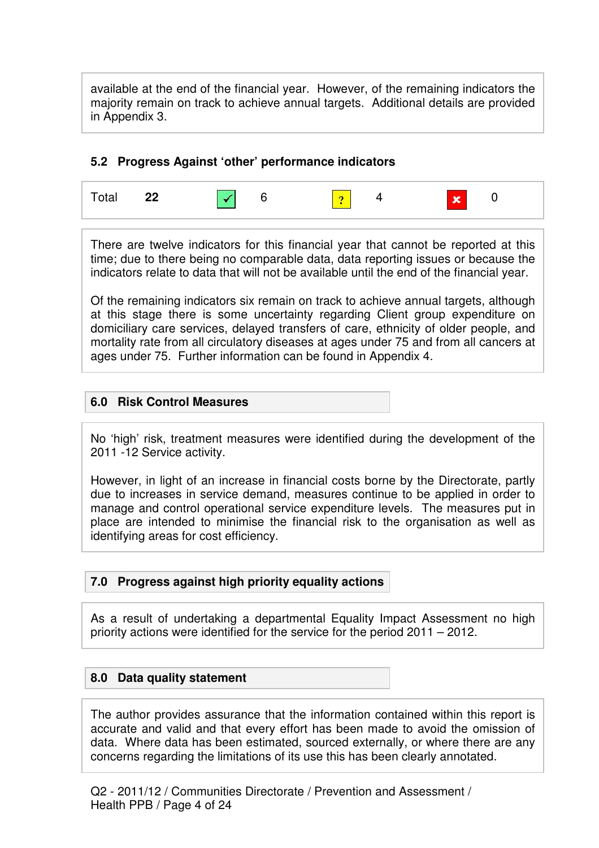available at the end of the financial year. However, of the remaining indicators the majority remain on track to achieve annual targets. Additional details are provided in Appendix 3.

## **5.2 Progress Against 'other' performance indicators**



There are twelve indicators for this financial year that cannot be reported at this time; due to there being no comparable data, data reporting issues or because the indicators relate to data that will not be available until the end of the financial year.

Of the remaining indicators six remain on track to achieve annual targets, although at this stage there is some uncertainty regarding Client group expenditure on domiciliary care services, delayed transfers of care, ethnicity of older people, and mortality rate from all circulatory diseases at ages under 75 and from all cancers at ages under 75. Further information can be found in Appendix 4.

# **6.0 Risk Control Measures**

No 'high' risk, treatment measures were identified during the development of the 2011 -12 Service activity.

However, in light of an increase in financial costs borne by the Directorate, partly due to increases in service demand, measures continue to be applied in order to manage and control operational service expenditure levels. The measures put in place are intended to minimise the financial risk to the organisation as well as identifying areas for cost efficiency.

# **7.0 Progress against high priority equality actions**

As a result of undertaking a departmental Equality Impact Assessment no high priority actions were identified for the service for the period 2011 – 2012.

# **8.0 Data quality statement**

The author provides assurance that the information contained within this report is accurate and valid and that every effort has been made to avoid the omission of data. Where data has been estimated, sourced externally, or where there are any concerns regarding the limitations of its use this has been clearly annotated.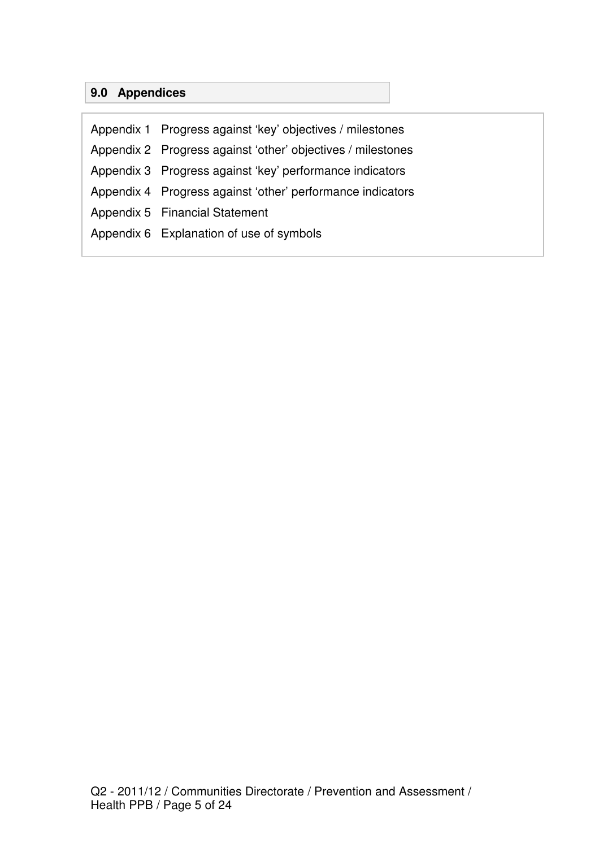# **9.0 Appendices**

Appendix 1 Progress against 'key' objectives / milestones Appendix 2 Progress against 'other' objectives / milestones Appendix 3 Progress against 'key' performance indicators Appendix 4 Progress against 'other' performance indicators Appendix 5 Financial Statement Appendix 6 Explanation of use of symbols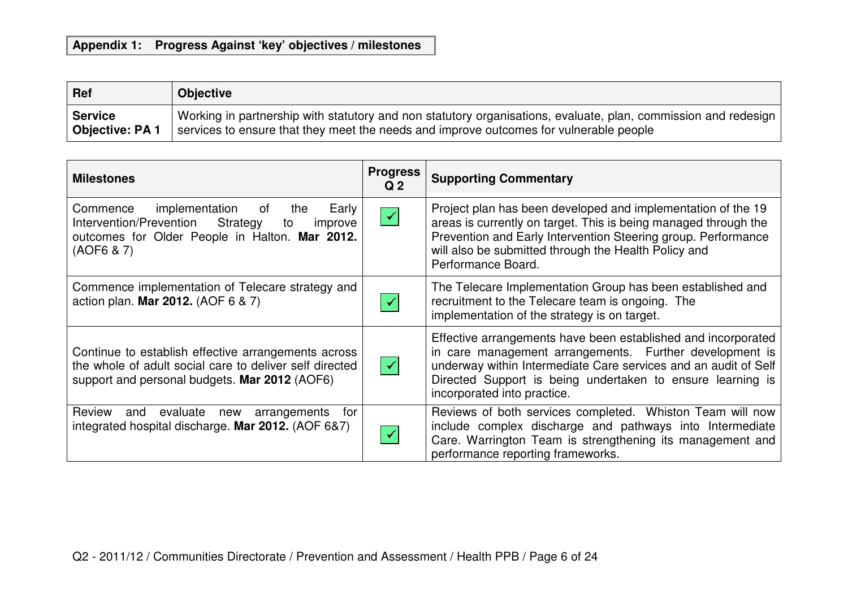# **Appendix 1: Progress Against 'key' objectives / milestones**

| Ref                   | <b>Objective</b>                                                                                               |
|-----------------------|----------------------------------------------------------------------------------------------------------------|
| <b>Service</b>        | Working in partnership with statutory and non statutory organisations, evaluate, plan, commission and redesign |
| <b>Objective: PA1</b> | services to ensure that they meet the needs and improve outcomes for vulnerable people                         |

| <b>Milestones</b>                                                                                                                                                        | <b>Progress</b><br>Q <sub>2</sub> | <b>Supporting Commentary</b>                                                                                                                                                                                                                                                             |
|--------------------------------------------------------------------------------------------------------------------------------------------------------------------------|-----------------------------------|------------------------------------------------------------------------------------------------------------------------------------------------------------------------------------------------------------------------------------------------------------------------------------------|
| implementation<br>of<br>the<br>Early<br>Commence<br>Intervention/Prevention<br>Strategy<br>improve<br>to<br>outcomes for Older People in Halton. Mar 2012.<br>(AOF6 & 7) | $\prec$                           | Project plan has been developed and implementation of the 19<br>areas is currently on target. This is being managed through the<br>Prevention and Early Intervention Steering group. Performance<br>will also be submitted through the Health Policy and<br>Performance Board.           |
| Commence implementation of Telecare strategy and<br>action plan. Mar 2012. (AOF 6 & 7)                                                                                   |                                   | The Telecare Implementation Group has been established and<br>recruitment to the Telecare team is ongoing. The<br>implementation of the strategy is on target.                                                                                                                           |
| Continue to establish effective arrangements across<br>the whole of adult social care to deliver self directed<br>support and personal budgets. Mar 2012 (AOF6)          | $\blacktriangledown$              | Effective arrangements have been established and incorporated<br>in care management arrangements. Further development is<br>underway within Intermediate Care services and an audit of Self<br>Directed Support is being undertaken to ensure learning is<br>incorporated into practice. |
| <b>Review</b><br>evaluate<br>arrangements<br>and<br>new<br>tor<br>integrated hospital discharge. Mar 2012. (AOF 6&7)                                                     |                                   | Reviews of both services completed. Whiston Team will now<br>include complex discharge and pathways into Intermediate<br>Care. Warrington Team is strengthening its management and<br>performance reporting frameworks.                                                                  |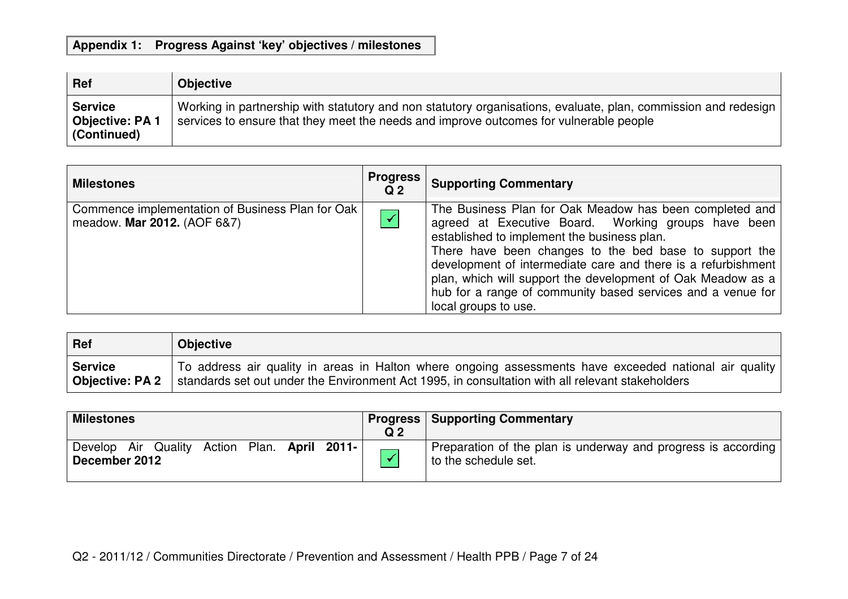# **Appendix 1: Progress Against 'key' objectives / milestones**

| Ref                                                     | <b>Objective</b>                                                                                                                                                                                         |
|---------------------------------------------------------|----------------------------------------------------------------------------------------------------------------------------------------------------------------------------------------------------------|
| <b>Service</b><br><b>Objective: PA 1</b><br>(Continued) | Working in partnership with statutory and non statutory organisations, evaluate, plan, commission and redesign<br>services to ensure that they meet the needs and improve outcomes for vulnerable people |

| <b>Milestones</b>                                                               | <b>Progress</b><br>Q <sub>2</sub> | <b>Supporting Commentary</b>                                                                                                                                                                                                                                                                                                                                                                                                                   |
|---------------------------------------------------------------------------------|-----------------------------------|------------------------------------------------------------------------------------------------------------------------------------------------------------------------------------------------------------------------------------------------------------------------------------------------------------------------------------------------------------------------------------------------------------------------------------------------|
| Commence implementation of Business Plan for Oak<br>meadow. Mar 2012. (AOF 6&7) |                                   | The Business Plan for Oak Meadow has been completed and<br>agreed at Executive Board. Working groups have been<br>established to implement the business plan.<br>There have been changes to the bed base to support the<br>development of intermediate care and there is a refurbishment<br>plan, which will support the development of Oak Meadow as a<br>hub for a range of community based services and a venue for<br>local groups to use. |

| $ $ Ref         | <b>Objective</b>                                                                                       |
|-----------------|--------------------------------------------------------------------------------------------------------|
| <b>Service</b>  | To address air quality in areas in Halton where ongoing assessments have exceeded national air quality |
| Objective: PA 2 | standards set out under the Environment Act 1995, in consultation with all relevant stakeholders       |

| <b>Milestones</b>                                             | Q <sub>2</sub> | <b>Progress   Supporting Commentary</b>                                                 |
|---------------------------------------------------------------|----------------|-----------------------------------------------------------------------------------------|
| Develop Air Quality Action Plan. April 2011-<br>December 2012 |                | Preparation of the plan is underway and progress is according  <br>to the schedule set. |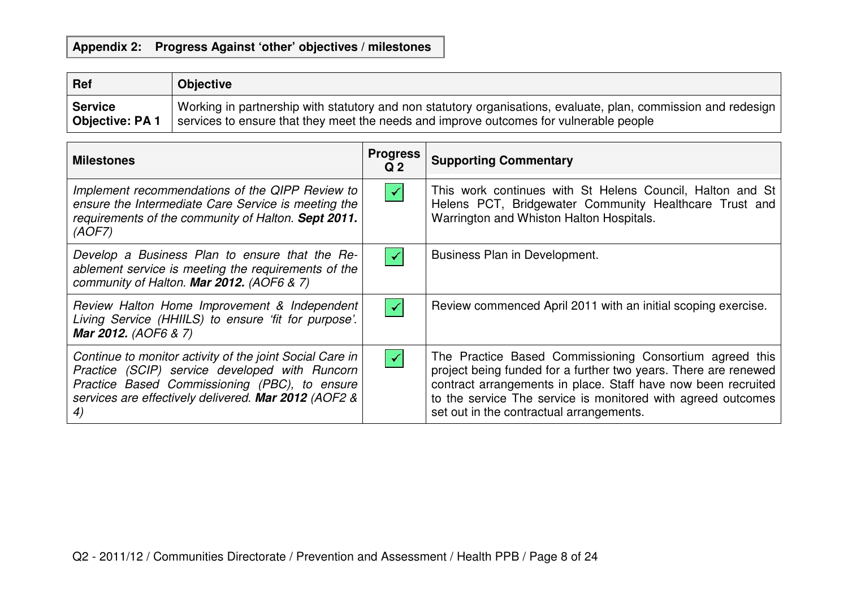# **Appendix 2: Progress Against 'other' objectives / milestones**

| $ $ Ref         | <b>Objective</b>                                                                                               |
|-----------------|----------------------------------------------------------------------------------------------------------------|
| Service         | Working in partnership with statutory and non statutory organisations, evaluate, plan, commission and redesign |
| Objective: PA 1 | services to ensure that they meet the needs and improve outcomes for vulnerable people                         |

| <b>Milestones</b>                                                                                                                                                                                                         | <b>Progress</b><br>Q <sub>2</sub> | <b>Supporting Commentary</b>                                                                                                                                                                                                                                                                            |
|---------------------------------------------------------------------------------------------------------------------------------------------------------------------------------------------------------------------------|-----------------------------------|---------------------------------------------------------------------------------------------------------------------------------------------------------------------------------------------------------------------------------------------------------------------------------------------------------|
| Implement recommendations of the QIPP Review to<br>ensure the Intermediate Care Service is meeting the<br>requirements of the community of Halton. Sept 2011.<br>(AOFZ)                                                   | $\checkmark$                      | This work continues with St Helens Council, Halton and St<br>Helens PCT, Bridgewater Community Healthcare Trust and<br>Warrington and Whiston Halton Hospitals.                                                                                                                                         |
| Develop a Business Plan to ensure that the Re-<br>ablement service is meeting the requirements of the<br>community of Halton. Mar 2012. (AOF6 & 7)                                                                        |                                   | Business Plan in Development.                                                                                                                                                                                                                                                                           |
| Review Halton Home Improvement & Independent<br>Living Service (HHIILS) to ensure 'fit for purpose'.<br>Mar 2012. (AOF6 & 7)                                                                                              |                                   | Review commenced April 2011 with an initial scoping exercise.                                                                                                                                                                                                                                           |
| Continue to monitor activity of the joint Social Care in<br>Practice (SCIP) service developed with Runcorn<br>Practice Based Commissioning (PBC), to ensure<br>services are effectively delivered. Mar 2012 (AOF2 &<br>4) | $\checkmark$                      | The Practice Based Commissioning Consortium agreed this<br>project being funded for a further two years. There are renewed<br>contract arrangements in place. Staff have now been recruited<br>to the service The service is monitored with agreed outcomes<br>set out in the contractual arrangements. |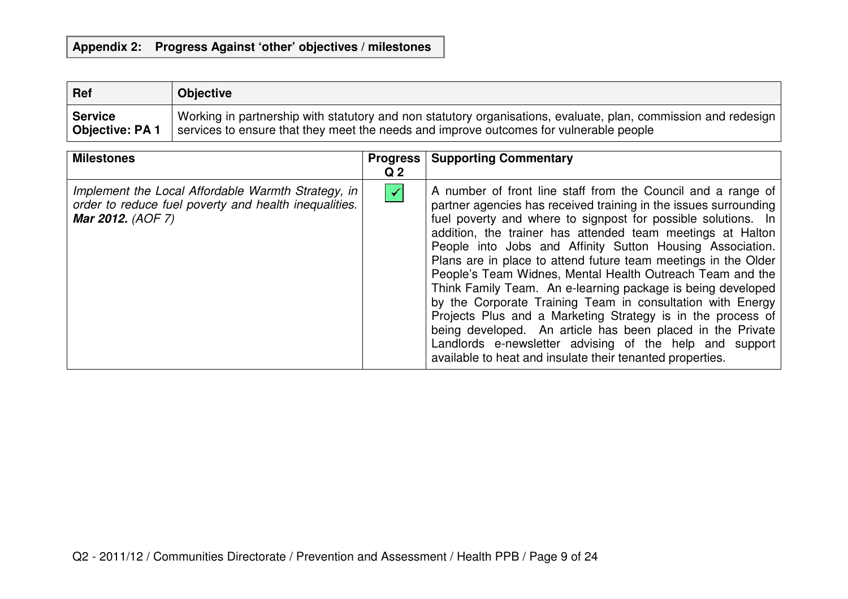# **Appendix 2: Progress Against 'other' objectives / milestones**

| Ref                   | <b>Objective</b>                                                                                               |
|-----------------------|----------------------------------------------------------------------------------------------------------------|
| <b>Service</b>        | Working in partnership with statutory and non statutory organisations, evaluate, plan, commission and redesign |
| <b>Objective: PA1</b> | services to ensure that they meet the needs and improve outcomes for vulnerable people                         |

| <b>Milestones</b>                                                                                                                       | <b>Progress</b><br>Q <sub>2</sub> | <b>Supporting Commentary</b>                                                                                                                                                                                                                                                                                                                                                                                                                                                                                                                                                                                                                                                                                                                                                                                                                  |
|-----------------------------------------------------------------------------------------------------------------------------------------|-----------------------------------|-----------------------------------------------------------------------------------------------------------------------------------------------------------------------------------------------------------------------------------------------------------------------------------------------------------------------------------------------------------------------------------------------------------------------------------------------------------------------------------------------------------------------------------------------------------------------------------------------------------------------------------------------------------------------------------------------------------------------------------------------------------------------------------------------------------------------------------------------|
| Implement the Local Affordable Warmth Strategy, in<br>order to reduce fuel poverty and health inequalities.<br><b>Mar 2012.</b> (AOF 7) | $\blacktriangledown$              | A number of front line staff from the Council and a range of<br>partner agencies has received training in the issues surrounding<br>fuel poverty and where to signpost for possible solutions. In<br>addition, the trainer has attended team meetings at Halton<br>People into Jobs and Affinity Sutton Housing Association.<br>Plans are in place to attend future team meetings in the Older<br>People's Team Widnes, Mental Health Outreach Team and the<br>Think Family Team. An e-learning package is being developed<br>by the Corporate Training Team in consultation with Energy<br>Projects Plus and a Marketing Strategy is in the process of<br>being developed. An article has been placed in the Private<br>Landlords e-newsletter advising of the help and support<br>available to heat and insulate their tenanted properties. |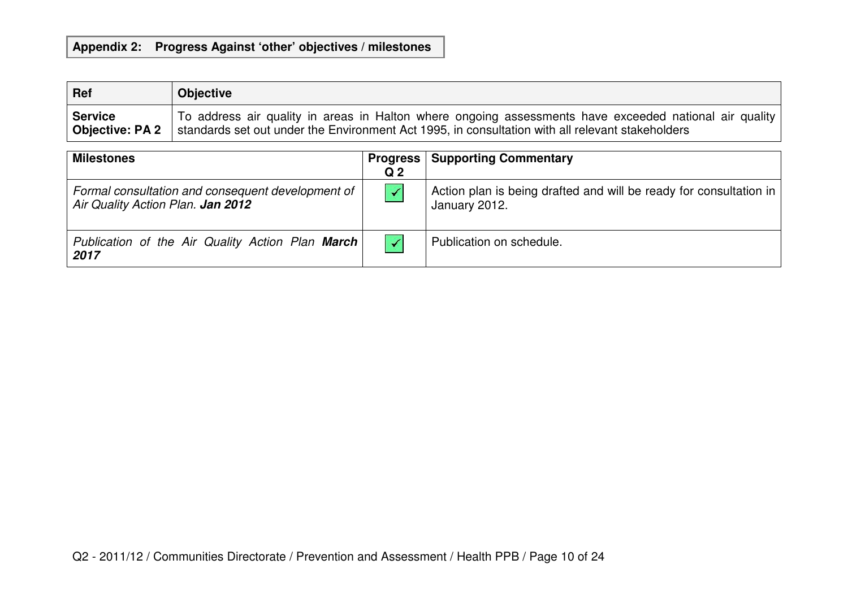# **Appendix 2: Progress Against 'other' objectives / milestones**

| Ref                    | <b>Objective</b>                                                                                       |
|------------------------|--------------------------------------------------------------------------------------------------------|
| <b>Service</b>         | To address air quality in areas in Halton where ongoing assessments have exceeded national air quality |
| <b>Objective: PA 2</b> | standards set out under the Environment Act 1995, in consultation with all relevant stakeholders       |

| <b>Milestones</b>                                                                      | <b>Progress</b><br>Q <sub>2</sub> | <b>Supporting Commentary</b>                                                        |
|----------------------------------------------------------------------------------------|-----------------------------------|-------------------------------------------------------------------------------------|
| Formal consultation and consequent development of<br>Air Quality Action Plan. Jan 2012 | $\blacktriangledown$              | Action plan is being drafted and will be ready for consultation in<br>January 2012. |
| Publication of the Air Quality Action Plan March<br>2017                               | $\checkmark$                      | Publication on schedule.                                                            |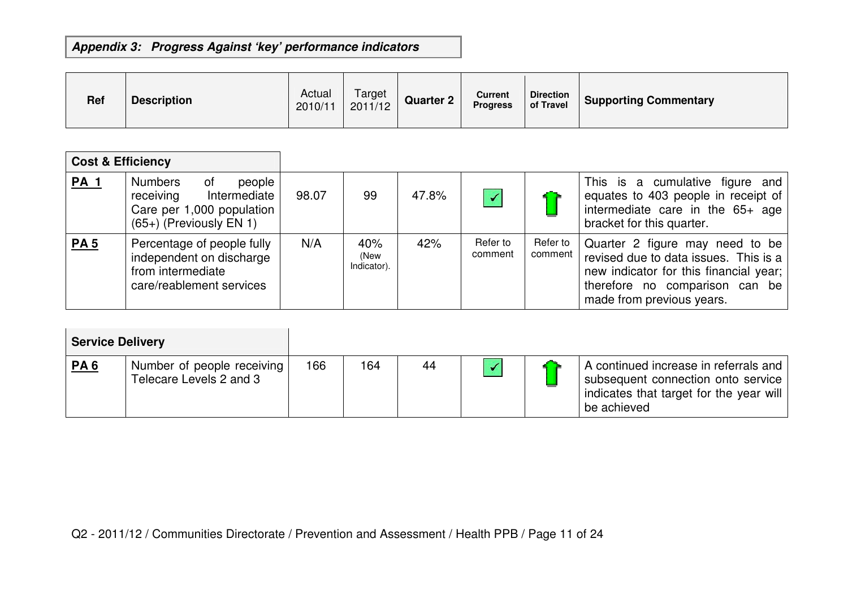| <b>Ref</b> | <b>Description</b> | Actual<br>2010/11 | Target<br>2011/12 | <b>Quarter 2</b> | <b>Current</b><br><b>Progress</b> | <b>Direction</b><br>of Travel | <b>Supporting Commentary</b> |
|------------|--------------------|-------------------|-------------------|------------------|-----------------------------------|-------------------------------|------------------------------|
|------------|--------------------|-------------------|-------------------|------------------|-----------------------------------|-------------------------------|------------------------------|

| <b>Cost &amp; Efficiency</b> |                                                                                                                       |       |                            |       |                      |                     |                                                                                                                                                                                   |
|------------------------------|-----------------------------------------------------------------------------------------------------------------------|-------|----------------------------|-------|----------------------|---------------------|-----------------------------------------------------------------------------------------------------------------------------------------------------------------------------------|
| <b>PA 1</b>                  | <b>Numbers</b><br>0f<br>people<br>receiving<br>Intermediate<br>Care per 1,000 population<br>$(65+)$ (Previously EN 1) | 98.07 | 99                         | 47.8% | $\blacktriangledown$ |                     | This is a cumulative figure and<br>equates to 403 people in receipt of<br>intermediate care in the 65+ age<br>bracket for this quarter.                                           |
| <b>PA5</b>                   | Percentage of people fully<br>independent on discharge<br>from intermediate<br>care/reablement services               | N/A   | 40%<br>(New<br>Indicator). | 42%   | Refer to<br>comment  | Refer to<br>comment | Quarter 2 figure may need to be<br>revised due to data issues. This is a<br>new indicator for this financial year;<br>therefore no comparison can be<br>made from previous years. |

| <b>Service Delivery</b> |                                                       |     |     |    |  |                                                                                                                                       |
|-------------------------|-------------------------------------------------------|-----|-----|----|--|---------------------------------------------------------------------------------------------------------------------------------------|
| <u>PA 6</u>             | Number of people receiving<br>Telecare Levels 2 and 3 | 166 | 164 | 44 |  | A continued increase in referrals and<br>subsequent connection onto service<br>indicates that target for the year will<br>be achieved |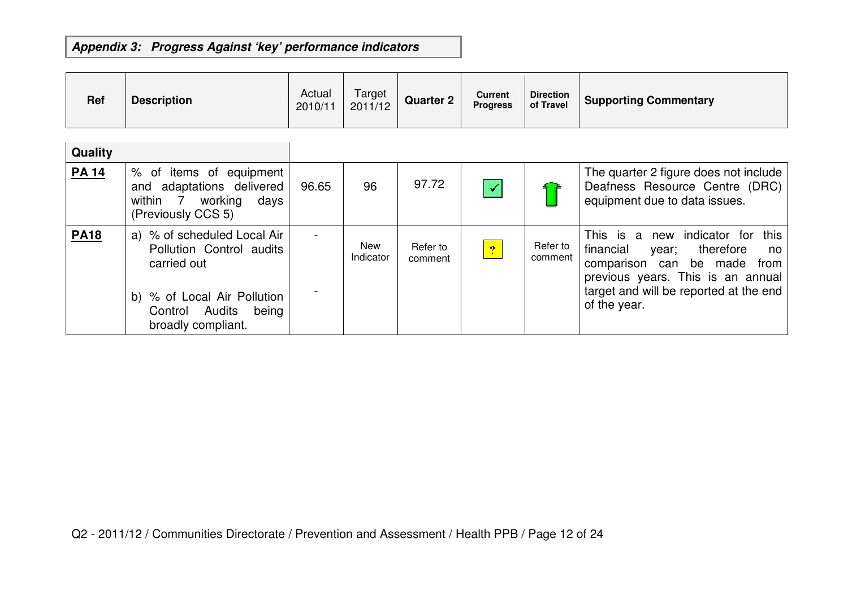| Ref          | <b>Description</b>                                                                                                                                     | Actual<br>2010/11 | Target<br>2011/12 | <b>Quarter 2</b>    | <b>Current</b><br><b>Progress</b> | <b>Direction</b><br>of Travel | <b>Supporting Commentary</b>                                                                                                                                                                                  |
|--------------|--------------------------------------------------------------------------------------------------------------------------------------------------------|-------------------|-------------------|---------------------|-----------------------------------|-------------------------------|---------------------------------------------------------------------------------------------------------------------------------------------------------------------------------------------------------------|
| Quality      |                                                                                                                                                        |                   |                   |                     |                                   |                               |                                                                                                                                                                                                               |
| <b>PA 14</b> | % of items of equipment<br>and adaptations delivered<br>working<br>within 7<br>days<br>(Previously CCS 5)                                              | 96.65             | 96                | 97.72               | $\blacktriangledown$              |                               | The quarter 2 figure does not include<br>Deafness Resource Centre (DRC)<br>equipment due to data issues.                                                                                                      |
| <b>PA18</b>  | a) % of scheduled Local Air<br>Pollution Control audits<br>carried out<br>b) % of Local Air Pollution<br>Control Audits<br>being<br>broadly compliant. |                   | New<br>Indicator  | Refer to<br>comment | $\overline{?}$                    | Refer to<br>comment           | This is a new indicator for<br>this<br>financial<br>therefore<br>year;<br>no<br>comparison can be made<br>from<br>previous years. This is an annual<br>target and will be reported at the end<br>of the year. |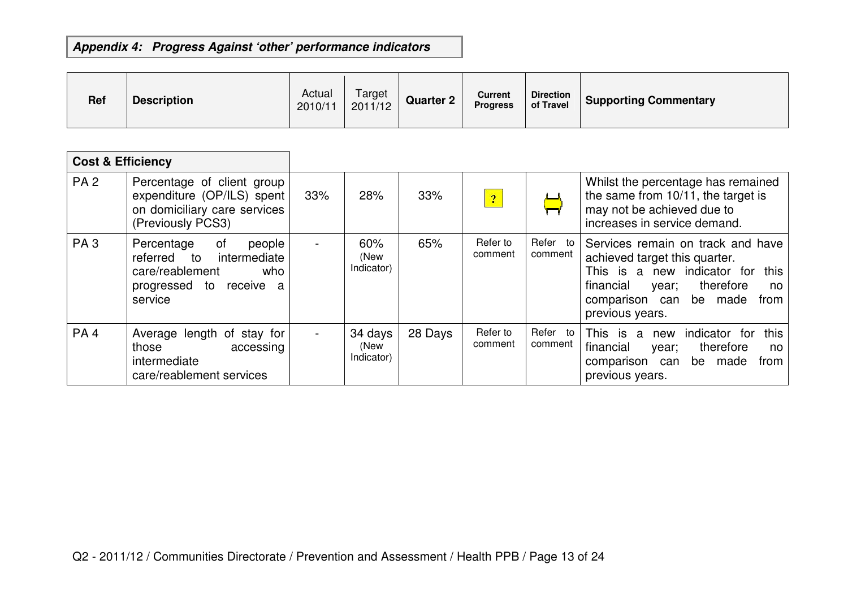| <b>Ref</b> | <b>Description</b> | Actual<br>2010/11 | Target<br>2011/12 | <b>Quarter 2</b> | <b>Current</b><br><b>Progress</b> | <b>Direction</b><br>of Travel | <b>Supporting Commentary</b> |
|------------|--------------------|-------------------|-------------------|------------------|-----------------------------------|-------------------------------|------------------------------|
|------------|--------------------|-------------------|-------------------|------------------|-----------------------------------|-------------------------------|------------------------------|

| <b>Cost &amp; Efficiency</b> |                                                                                                                              |     |                               |         |                     |                     |                                                                                                                                                                                                          |
|------------------------------|------------------------------------------------------------------------------------------------------------------------------|-----|-------------------------------|---------|---------------------|---------------------|----------------------------------------------------------------------------------------------------------------------------------------------------------------------------------------------------------|
| <b>PA2</b>                   | Percentage of client group<br>expenditure (OP/ILS) spent<br>on domiciliary care services<br>(Previously PCS3)                | 33% | 28%                           | 33%     | 2                   |                     | Whilst the percentage has remained<br>the same from 10/11, the target is<br>may not be achieved due to<br>increases in service demand.                                                                   |
| PA <sub>3</sub>              | 0f<br>Percentage<br>people<br>referred to<br>intermediate<br>care/reablement<br>who<br>progressed to<br>receive a<br>service |     | 60%<br>(New<br>Indicator)     | 65%     | Refer to<br>comment | Refer to<br>comment | Services remain on track and have<br>achieved target this quarter.<br>This is a new indicator for<br>this<br>financial<br>therefore<br>year;<br>no.<br>comparison can be made<br>from<br>previous years. |
| PA <sub>4</sub>              | Average length of stay for<br>those<br>accessing<br>intermediate<br>care/reablement services                                 |     | 34 days<br>(New<br>Indicator) | 28 Days | Refer to<br>comment | Refer to<br>comment | indicator for<br>this<br>This is<br>a<br>new<br>financial<br>therefore<br>year;<br>no.<br>be made<br>comparison<br>can<br>from<br>previous years.                                                        |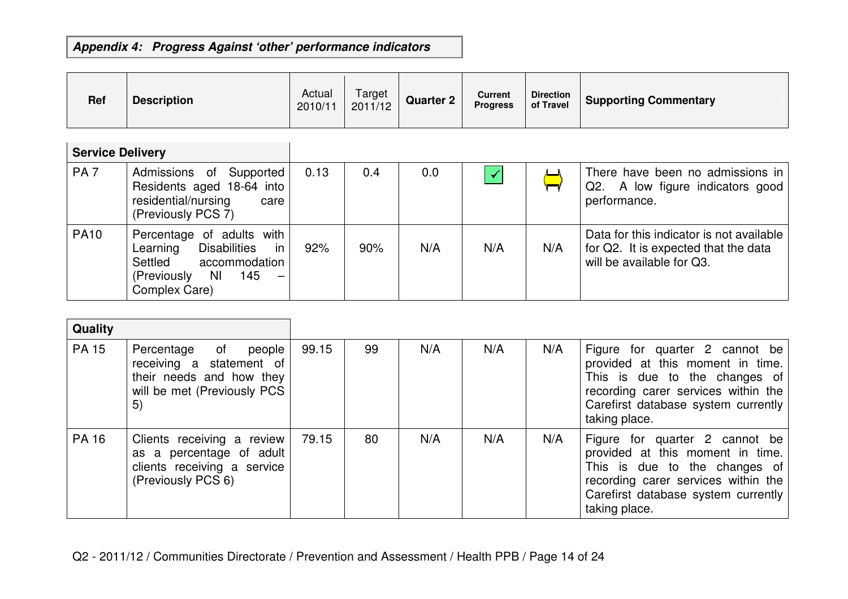| <b>Ref</b>              | <b>Description</b>                                                                                                                                                              | Actual<br>2010/11 | Target<br>2011/12 | <b>Quarter 2</b> | <b>Current</b><br><b>Progress</b> | <b>Direction</b><br>of Travel | <b>Supporting Commentary</b>                                                                                  |
|-------------------------|---------------------------------------------------------------------------------------------------------------------------------------------------------------------------------|-------------------|-------------------|------------------|-----------------------------------|-------------------------------|---------------------------------------------------------------------------------------------------------------|
| <b>Service Delivery</b> |                                                                                                                                                                                 |                   |                   |                  |                                   |                               |                                                                                                               |
| PA <sub>7</sub>         | Admissions of Supported<br>Residents aged 18-64 into<br>residential/nursing<br>care<br>(Previously PCS 7)                                                                       | 0.13              | 0.4               | 0.0              | $\blacktriangledown$              |                               | There have been no admissions in<br>Q2.<br>A low figure indicators good<br>performance.                       |
| <b>PA10</b>             | Percentage of adults with<br><b>Disabilities</b><br>Learning<br>-in<br>Settled<br>accommodation<br>145<br><b>NI</b><br>(Previously<br>$\overline{\phantom{m}}$<br>Complex Care) | 92%               | 90%               | N/A              | N/A                               | N/A                           | Data for this indicator is not available<br>for Q2. It is expected that the data<br>will be available for Q3. |

| Quality      |                                                                                                                      |       |    |     |     |     |                                                                                                                                                                                                    |
|--------------|----------------------------------------------------------------------------------------------------------------------|-------|----|-----|-----|-----|----------------------------------------------------------------------------------------------------------------------------------------------------------------------------------------------------|
| <b>PA 15</b> | Percentage of<br>people<br>receiving a statement of<br>their needs and how they<br>will be met (Previously PCS<br>5) | 99.15 | 99 | N/A | N/A | N/A | Figure for quarter 2 cannot be<br>provided at this moment in time.<br>This is due to the changes of<br>recording carer services within the<br>Carefirst database system currently<br>taking place. |
| <b>PA 16</b> | Clients receiving a review<br>as a percentage of adult<br>clients receiving a service<br>(Previously PCS 6)          | 79.15 | 80 | N/A | N/A | N/A | Figure for quarter 2 cannot be<br>provided at this moment in time.<br>This is due to the changes of<br>recording carer services within the<br>Carefirst database system currently<br>taking place. |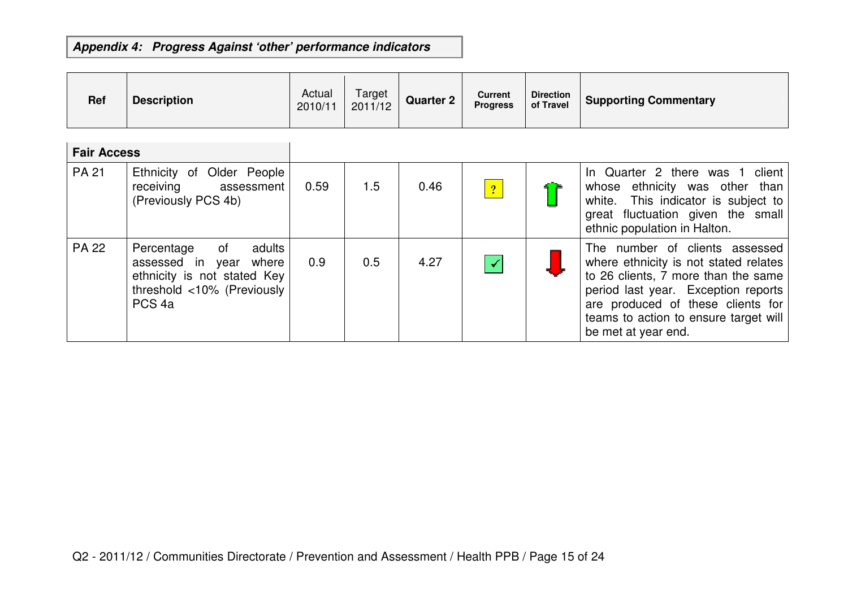| <b>Ref</b>         | <b>Description</b>                                                                                                                           | Actual<br>2010/11 | Target<br>2011/12 | <b>Quarter 2</b> | <b>Current</b><br><b>Progress</b> | <b>Direction</b><br>of Travel | <b>Supporting Commentary</b>                                                                                                                                                                                                                               |
|--------------------|----------------------------------------------------------------------------------------------------------------------------------------------|-------------------|-------------------|------------------|-----------------------------------|-------------------------------|------------------------------------------------------------------------------------------------------------------------------------------------------------------------------------------------------------------------------------------------------------|
| <b>Fair Access</b> |                                                                                                                                              |                   |                   |                  |                                   |                               |                                                                                                                                                                                                                                                            |
| <b>PA 21</b>       | Ethnicity of Older People<br>receiving<br>assessment<br>(Previously PCS 4b)                                                                  | 0.59              | 1.5               | 0.46             | $\boxed{?}$                       |                               | In Quarter 2 there was 1 client<br>ethnicity was other than<br>whose<br>white. This indicator is subject to<br>great fluctuation given the small<br>ethnic population in Halton.                                                                           |
| <b>PA 22</b>       | of<br>adults<br>Percentage<br>assessed in<br>where<br>year<br>ethnicity is not stated Key<br>threshold <10% (Previously<br>PCS <sub>4a</sub> | 0.9               | 0.5               | 4.27             |                                   |                               | The number of clients assessed<br>where ethnicity is not stated relates<br>to 26 clients, 7 more than the same<br>period last year. Exception reports<br>are produced of these clients for<br>teams to action to ensure target will<br>be met at year end. |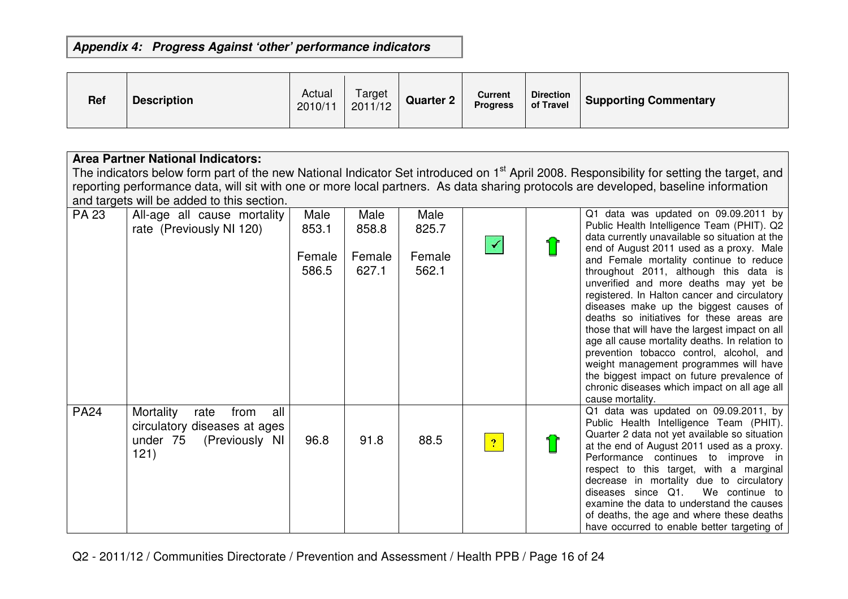| <b>Ref</b> | <b>Description</b> | Actual<br>2010/11 | Target<br>2011/12 | <b>Quarter 2</b> | <b>Current</b><br><b>Progress</b> | <b>Direction</b><br>of Travel | <b>Supporting Commentary</b> |
|------------|--------------------|-------------------|-------------------|------------------|-----------------------------------|-------------------------------|------------------------------|
|------------|--------------------|-------------------|-------------------|------------------|-----------------------------------|-------------------------------|------------------------------|

## **Area Partner National Indicators:**

The indicators below form part of the new National Indicator Set introduced on 1<sup>st</sup> April 2008. Responsibility for setting the target, and reporting performance data, will sit with one or more local partners. As data sharing protocols are developed, baseline information and targets will be added to this section.

| <b>PA 23</b> | All-age all cause mortality<br>rate (Previously NI 120)                                                | Male<br>853.1<br>Female<br>586.5 | Male<br>858.8<br>Female<br>627.1 | Male<br>825.7<br>Female<br>562.1 |                | Q1 data was updated on 09.09.2011 by<br>Public Health Intelligence Team (PHIT). Q2<br>data currently unavailable so situation at the<br>end of August 2011 used as a proxy. Male<br>and Female mortality continue to reduce<br>throughout 2011, although this data is<br>unverified and more deaths may yet be<br>registered. In Halton cancer and circulatory<br>diseases make up the biggest causes of<br>deaths so initiatives for these areas are<br>those that will have the largest impact on all<br>age all cause mortality deaths. In relation to<br>prevention tobacco control, alcohol, and<br>weight management programmes will have<br>the biggest impact on future prevalence of<br>chronic diseases which impact on all age all<br>cause mortality. |
|--------------|--------------------------------------------------------------------------------------------------------|----------------------------------|----------------------------------|----------------------------------|----------------|-------------------------------------------------------------------------------------------------------------------------------------------------------------------------------------------------------------------------------------------------------------------------------------------------------------------------------------------------------------------------------------------------------------------------------------------------------------------------------------------------------------------------------------------------------------------------------------------------------------------------------------------------------------------------------------------------------------------------------------------------------------------|
| <b>PA24</b>  | all<br>Mortality<br>from<br>rate<br>circulatory diseases at ages<br>(Previously NI<br>under 75<br>121) | 96.8                             | 91.8                             | 88.5                             | $\overline{?}$ | Q1 data was updated on 09.09.2011, by<br>Public Health Intelligence Team (PHIT).<br>Quarter 2 data not yet available so situation<br>at the end of August 2011 used as a proxy.<br>Performance continues to improve in<br>respect to this target, with a marginal<br>decrease in mortality due to circulatory<br>diseases since Q1.<br>We continue to<br>examine the data to understand the causes<br>of deaths, the age and where these deaths<br>have occurred to enable better targeting of                                                                                                                                                                                                                                                                    |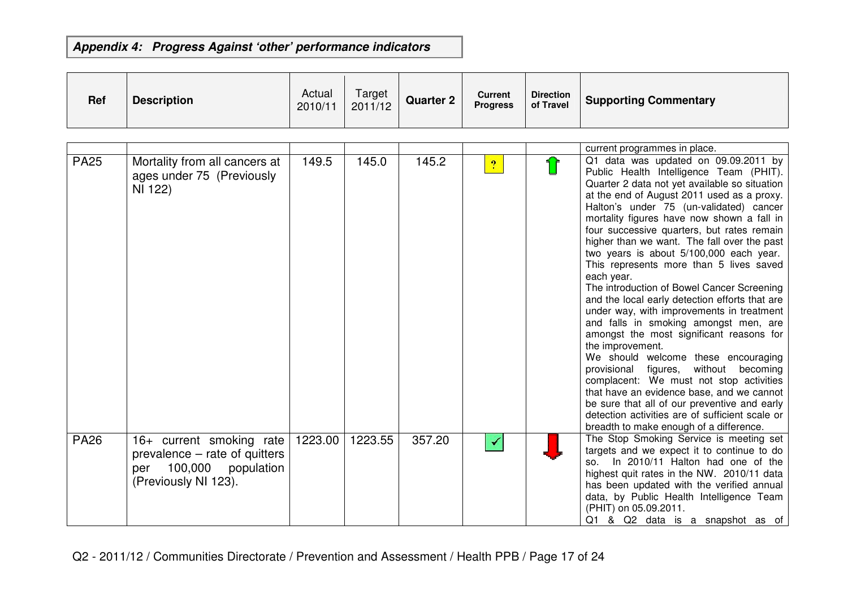| <b>Ref</b> | <b>Description</b> | Actual<br>2010/11 | Target<br>2011/12 | <b>Quarter 2</b> | <b>Current</b><br><b>Progress</b> | <b>Direction</b><br>of Travel | <b>Supporting Commentary</b> |
|------------|--------------------|-------------------|-------------------|------------------|-----------------------------------|-------------------------------|------------------------------|
|------------|--------------------|-------------------|-------------------|------------------|-----------------------------------|-------------------------------|------------------------------|

|             |                                                                                                                   |         |         |        |                | current programmes in place.                                                                                                                                                                                                                                                                                                                                                                                                                                                                                                                                                                                                                                                                                                                                                                                                                                                                                                                                                                                                                            |
|-------------|-------------------------------------------------------------------------------------------------------------------|---------|---------|--------|----------------|---------------------------------------------------------------------------------------------------------------------------------------------------------------------------------------------------------------------------------------------------------------------------------------------------------------------------------------------------------------------------------------------------------------------------------------------------------------------------------------------------------------------------------------------------------------------------------------------------------------------------------------------------------------------------------------------------------------------------------------------------------------------------------------------------------------------------------------------------------------------------------------------------------------------------------------------------------------------------------------------------------------------------------------------------------|
| <b>PA25</b> | Mortality from all cancers at<br>ages under 75 (Previously<br>NI 122)                                             | 149.5   | 145.0   | 145.2  | $\overline{?}$ | Q1 data was updated on 09.09.2011 by<br>Public Health Intelligence Team (PHIT).<br>Quarter 2 data not yet available so situation<br>at the end of August 2011 used as a proxy.<br>Halton's under 75 (un-validated) cancer<br>mortality figures have now shown a fall in<br>four successive quarters, but rates remain<br>higher than we want. The fall over the past<br>two years is about 5/100,000 each year.<br>This represents more than 5 lives saved<br>each year.<br>The introduction of Bowel Cancer Screening<br>and the local early detection efforts that are<br>under way, with improvements in treatment<br>and falls in smoking amongst men, are<br>amongst the most significant reasons for<br>the improvement.<br>We should welcome these encouraging<br>provisional figures,<br>without becoming<br>complacent: We must not stop activities<br>that have an evidence base, and we cannot<br>be sure that all of our preventive and early<br>detection activities are of sufficient scale or<br>breadth to make enough of a difference. |
| <b>PA26</b> | 16+ current smoking rate<br>prevalence – rate of quitters<br>population<br>100,000<br>per<br>(Previously NI 123). | 1223.00 | 1223.55 | 357.20 | ✔              | The Stop Smoking Service is meeting set<br>targets and we expect it to continue to do<br>In 2010/11 Halton had one of the<br>SO.<br>highest quit rates in the NW. 2010/11 data<br>has been updated with the verified annual<br>data, by Public Health Intelligence Team<br>(PHIT) on 05.09.2011.<br>Q1 & Q2 data is a snapshot as of                                                                                                                                                                                                                                                                                                                                                                                                                                                                                                                                                                                                                                                                                                                    |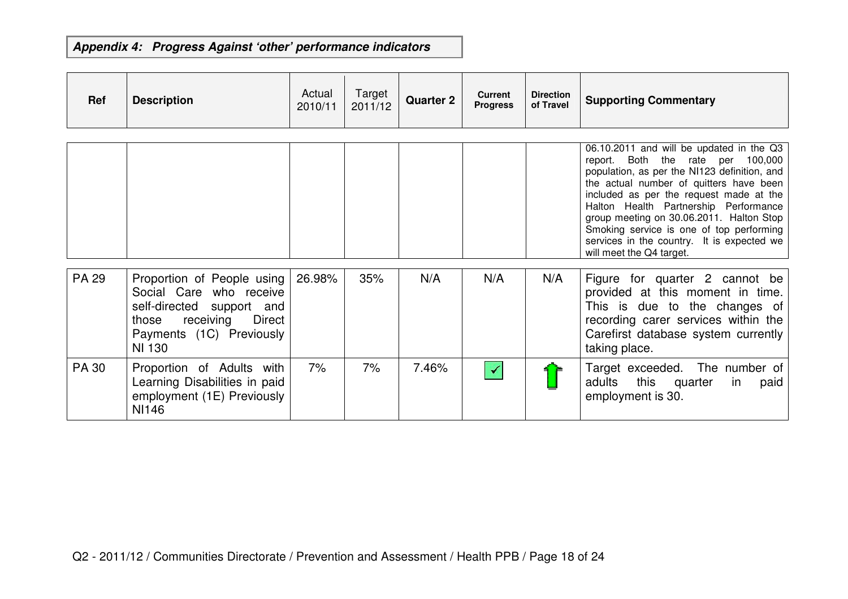| <b>Ref</b>   | <b>Description</b>                                                                                                                                    | Actual<br>2010/11 | Target<br>2011/12 | <b>Quarter 2</b> | <b>Current</b><br><b>Progress</b> | <b>Direction</b><br>of Travel | <b>Supporting Commentary</b>                                                                                                                                                                                                                                                                                                                                                                                                      |
|--------------|-------------------------------------------------------------------------------------------------------------------------------------------------------|-------------------|-------------------|------------------|-----------------------------------|-------------------------------|-----------------------------------------------------------------------------------------------------------------------------------------------------------------------------------------------------------------------------------------------------------------------------------------------------------------------------------------------------------------------------------------------------------------------------------|
|              |                                                                                                                                                       |                   |                   |                  |                                   |                               | 06.10.2011 and will be updated in the Q3<br>report. Both the rate per<br>100,000<br>population, as per the NI123 definition, and<br>the actual number of quitters have been<br>included as per the request made at the<br>Halton Health Partnership Performance<br>group meeting on 30.06.2011. Halton Stop<br>Smoking service is one of top performing<br>services in the country. It is expected we<br>will meet the Q4 target. |
| <b>PA 29</b> | Proportion of People using<br>Social Care who receive<br>self-directed support and<br>receiving Direct<br>those<br>Payments (1C) Previously<br>NI 130 | 26.98%            | 35%               | N/A              | N/A                               | N/A                           | Figure for quarter 2 cannot be<br>provided at this moment in time.<br>This is due to the changes of<br>recording carer services within the<br>Carefirst database system currently<br>taking place.                                                                                                                                                                                                                                |
| <b>PA 30</b> | Proportion of Adults with<br>Learning Disabilities in paid<br>employment (1E) Previously<br><b>NI146</b>                                              | 7%                | 7%                | 7.46%            | $\blacktriangledown$              |                               | Target exceeded. The number of<br>this quarter<br>adults<br>in<br>paid<br>employment is 30.                                                                                                                                                                                                                                                                                                                                       |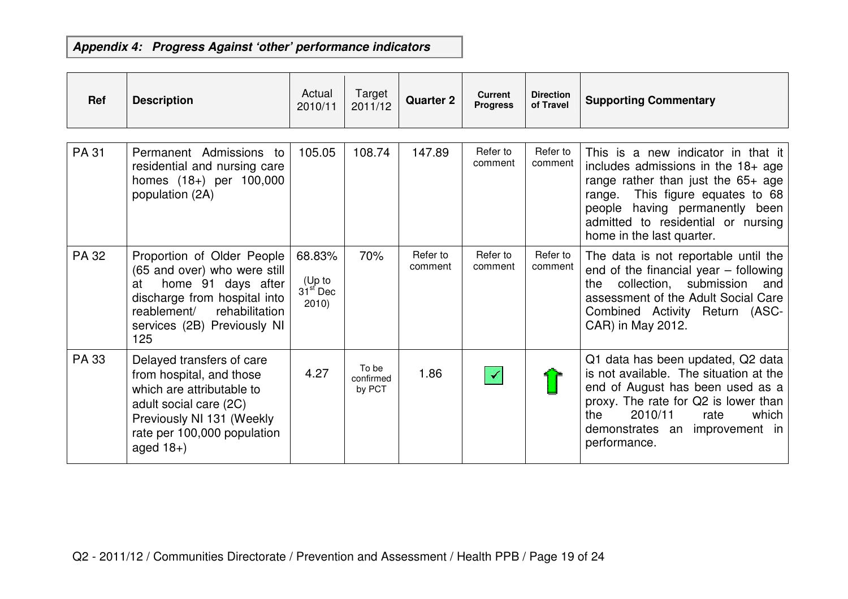| <b>Ref</b> | <b>Description</b>                                                                                                                                                                            | Actual<br>2010/11                      | Target<br>2011/12            | <b>Quarter 2</b>    | <b>Current</b><br><b>Progress</b> | <b>Direction</b><br>of Travel | <b>Supporting Commentary</b>                                                                                                                                                                                                                                   |
|------------|-----------------------------------------------------------------------------------------------------------------------------------------------------------------------------------------------|----------------------------------------|------------------------------|---------------------|-----------------------------------|-------------------------------|----------------------------------------------------------------------------------------------------------------------------------------------------------------------------------------------------------------------------------------------------------------|
| PA 31      | Permanent Admissions to<br>residential and nursing care<br>homes (18+) per 100,000<br>population (2A)                                                                                         | 105.05                                 | 108.74                       | 147.89              | Refer to<br>comment               | Refer to<br>comment           | This is a new indicator in that it<br>includes admissions in the $18+$ age<br>range rather than just the $65+$ age<br>This figure equates to 68<br>range.<br>people having permanently been<br>admitted to residential or nursing<br>home in the last quarter. |
| PA 32      | Proportion of Older People<br>(65 and over) who were still<br>home 91 days after<br>at<br>discharge from hospital into<br>rehabilitation<br>reablement/<br>services (2B) Previously NI<br>125 | 68.83%<br>(Up to<br>$31st$ Dec<br>2010 | 70%                          | Refer to<br>comment | Refer to<br>comment               | Refer to<br>comment           | The data is not reportable until the<br>end of the financial year $-$ following<br>collection, submission<br>and<br>the<br>assessment of the Adult Social Care<br>Combined Activity Return (ASC-<br>CAR) in May 2012.                                          |
| PA 33      | Delayed transfers of care<br>from hospital, and those<br>which are attributable to<br>adult social care (2C)<br>Previously NI 131 (Weekly<br>rate per 100,000 population<br>aged $18+$ )      | 4.27                                   | To be<br>confirmed<br>by PCT | 1.86                | $\blacktriangledown$              |                               | Q1 data has been updated, Q2 data<br>is not available. The situation at the<br>end of August has been used as a<br>proxy. The rate for Q2 is lower than<br>2010/11<br>the<br>which<br>rate<br>demonstrates an<br>improvement in<br>performance.                |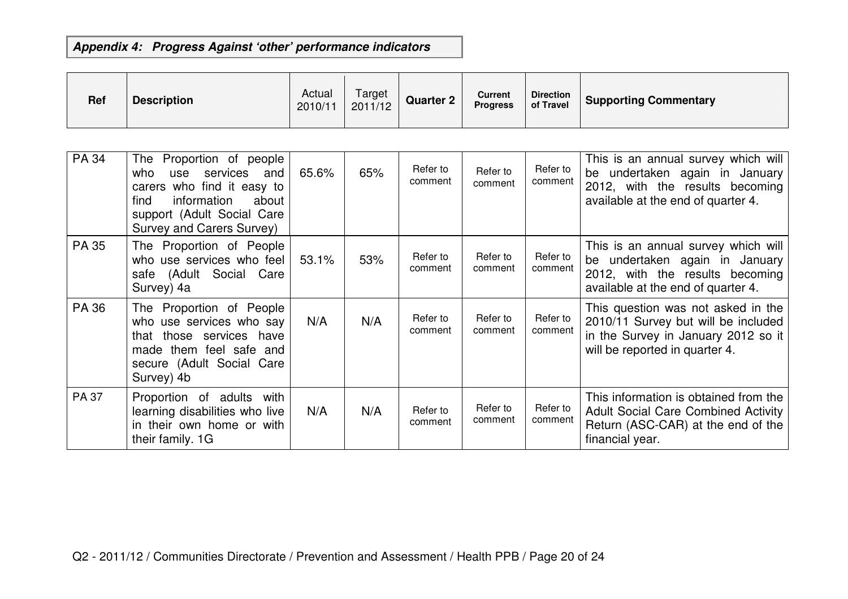| <b>Ref</b> | <b>Description</b> | Actual<br>2010/11 | Target<br>2011/12 | <b>Quarter 2</b> | <b>Current</b><br><b>Progress</b> | <b>Direction</b><br>of Travel | Supporting Commentary |
|------------|--------------------|-------------------|-------------------|------------------|-----------------------------------|-------------------------------|-----------------------|
|------------|--------------------|-------------------|-------------------|------------------|-----------------------------------|-------------------------------|-----------------------|

| PA 34 | The Proportion of people<br>services<br>who<br>and<br>use<br>carers who find it easy to<br>information<br>find<br>about<br>support (Adult Social Care<br>Survey and Carers Survey) | 65.6% | 65% | Refer to<br>comment | Refer to<br>comment | Refer to<br>comment | This is an annual survey which will<br>be undertaken again in January<br>2012, with the results becoming<br>available at the end of quarter 4.     |
|-------|------------------------------------------------------------------------------------------------------------------------------------------------------------------------------------|-------|-----|---------------------|---------------------|---------------------|----------------------------------------------------------------------------------------------------------------------------------------------------|
| PA 35 | The Proportion of People<br>who use services who feel<br>safe (Adult Social Care<br>Survey) 4a                                                                                     | 53.1% | 53% | Refer to<br>comment | Refer to<br>comment | Refer to<br>comment | This is an annual survey which will<br>be undertaken again in January<br>2012, with the results becoming<br>available at the end of quarter 4.     |
| PA 36 | The Proportion of People<br>who use services who say<br>that those services have<br>made them feel safe and<br>secure (Adult Social Care<br>Survey) 4b                             | N/A   | N/A | Refer to<br>comment | Refer to<br>comment | Refer to<br>comment | This question was not asked in the<br>2010/11 Survey but will be included<br>in the Survey in January 2012 so it<br>will be reported in quarter 4. |
| PA 37 | Proportion of adults with<br>learning disabilities who live<br>in their own home or with<br>their family. 1G                                                                       | N/A   | N/A | Refer to<br>comment | Refer to<br>comment | Refer to<br>comment | This information is obtained from the<br><b>Adult Social Care Combined Activity</b><br>Return (ASC-CAR) at the end of the<br>financial year.       |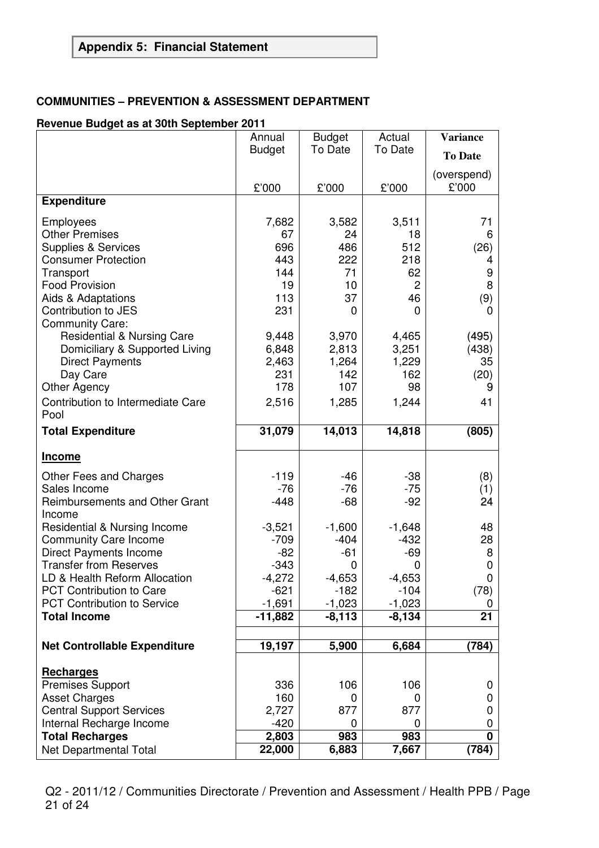# **Appendix 5: Financial Statement**

### **COMMUNITIES – PREVENTION & ASSESSMENT DEPARTMENT**

#### **Revenue Budget as at 30th September 2011**

|                                                                | Annual          | <b>Budget</b>   | Actual          | <b>Variance</b>  |
|----------------------------------------------------------------|-----------------|-----------------|-----------------|------------------|
|                                                                | <b>Budget</b>   | To Date         | To Date         | <b>To Date</b>   |
|                                                                |                 |                 |                 | (overspend)      |
|                                                                | £'000           | £'000           | £'000           | £'000            |
| <b>Expenditure</b>                                             |                 |                 |                 |                  |
| Employees                                                      | 7,682           | 3,582           | 3,511           | 71               |
| <b>Other Premises</b>                                          | 67              | 24              | 18              | 6                |
| <b>Supplies &amp; Services</b>                                 | 696             | 486             | 512             | (26)             |
| <b>Consumer Protection</b>                                     | 443<br>144      | 222<br>71       | 218<br>62       | 4                |
| Transport<br><b>Food Provision</b>                             | 19              | 10              | $\overline{2}$  | 9<br>8           |
| Aids & Adaptations                                             | 113             | 37              | 46              | (9)              |
| Contribution to JES                                            | 231             | 0               | $\Omega$        | 0                |
| <b>Community Care:</b>                                         |                 |                 |                 |                  |
| <b>Residential &amp; Nursing Care</b>                          | 9,448           | 3,970           | 4,465           | (495)            |
| Domiciliary & Supported Living                                 | 6,848           | 2,813           | 3,251           | (438)            |
| <b>Direct Payments</b>                                         | 2,463           | 1,264           | 1,229           | 35               |
| Day Care                                                       | 231             | 142             | 162             | (20)             |
| <b>Other Agency</b>                                            | 178             | 107             | 98              | 9                |
| Contribution to Intermediate Care<br>Pool                      | 2,516           | 1,285           | 1,244           | 41               |
| <b>Total Expenditure</b>                                       | 31,079          | 14,013          | 14,818          | (805)            |
| <b>Income</b>                                                  |                 |                 |                 |                  |
| Other Fees and Charges                                         | $-119$          | -46             | $-38$           | (8)              |
| Sales Income                                                   | $-76$           | $-76$           | $-75$           | (1)              |
| Reimbursements and Other Grant                                 | $-448$          | $-68$           | $-92$           | 24               |
| Income                                                         |                 |                 |                 |                  |
| <b>Residential &amp; Nursing Income</b>                        | $-3,521$        | $-1,600$        | $-1,648$        | 48               |
| <b>Community Care Income</b>                                   | $-709$<br>$-82$ | $-404$<br>$-61$ | $-432$<br>$-69$ | 28<br>8          |
| <b>Direct Payments Income</b><br><b>Transfer from Reserves</b> | $-343$          | 0               | 0               | $\boldsymbol{0}$ |
| LD & Health Reform Allocation                                  | $-4,272$        | $-4,653$        | $-4,653$        | $\mathbf 0$      |
| <b>PCT Contribution to Care</b>                                | $-621$          | $-182$          | $-104$          | (78)             |
| <b>PCT Contribution to Service</b>                             | $-1,691$        | $-1,023$        | $-1,023$        | 0                |
| <b>Total Income</b>                                            | $-11,882$       | $-8,113$        | $-8,134$        | 21               |
| <b>Net Controllable Expenditure</b>                            | 19,197          | 5,900           | 6,684           | (784)            |
|                                                                |                 |                 |                 |                  |
| <b>Recharges</b>                                               |                 |                 |                 |                  |
| <b>Premises Support</b>                                        | 336             | 106             | 106             | 0                |
| <b>Asset Charges</b>                                           | 160             | 0               | 0               | 0                |
| <b>Central Support Services</b><br>Internal Recharge Income    | 2,727<br>$-420$ | 877<br>0        | 877<br>0        | 0<br>0           |
| <b>Total Recharges</b>                                         | 2,803           | 983             | 983             | $\bf{0}$         |
| Net Departmental Total                                         | 22,000          | 6,883           | 7,667           | (784)            |

Q2 - 2011/12 / Communities Directorate / Prevention and Assessment / Health PPB / Page 21 of 24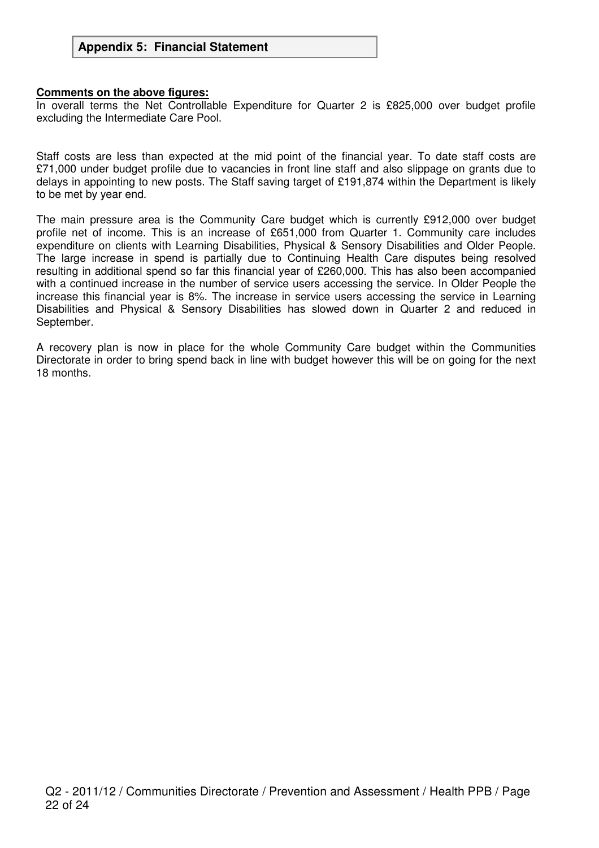#### **Comments on the above figures:**

In overall terms the Net Controllable Expenditure for Quarter 2 is £825,000 over budget profile excluding the Intermediate Care Pool.

Staff costs are less than expected at the mid point of the financial year. To date staff costs are £71,000 under budget profile due to vacancies in front line staff and also slippage on grants due to delays in appointing to new posts. The Staff saving target of £191,874 within the Department is likely to be met by year end.

The main pressure area is the Community Care budget which is currently £912,000 over budget profile net of income. This is an increase of £651,000 from Quarter 1. Community care includes expenditure on clients with Learning Disabilities, Physical & Sensory Disabilities and Older People. The large increase in spend is partially due to Continuing Health Care disputes being resolved resulting in additional spend so far this financial year of £260,000. This has also been accompanied with a continued increase in the number of service users accessing the service. In Older People the increase this financial year is 8%. The increase in service users accessing the service in Learning Disabilities and Physical & Sensory Disabilities has slowed down in Quarter 2 and reduced in September.

A recovery plan is now in place for the whole Community Care budget within the Communities Directorate in order to bring spend back in line with budget however this will be on going for the next 18 months.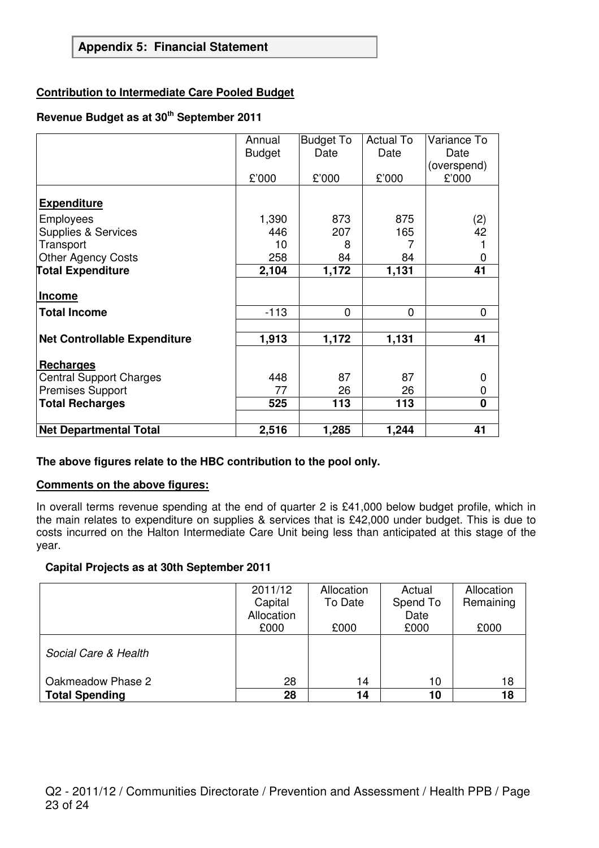## **Appendix 5: Financial Statement**

#### **Contribution to Intermediate Care Pooled Budget**

# **Revenue Budget as at 30th September 2011**

|                                     | Annual        | <b>Budget To</b> | <b>Actual To</b> | Variance To    |
|-------------------------------------|---------------|------------------|------------------|----------------|
|                                     | <b>Budget</b> | Date             | Date             | Date           |
|                                     |               |                  |                  | (overspend)    |
|                                     | £'000         | £'000            | £'000            | £'000          |
|                                     |               |                  |                  |                |
| <b>Expenditure</b>                  |               |                  |                  |                |
| Employees                           | 1,390         | 873              | 875              | (2)            |
| <b>Supplies &amp; Services</b>      | 446           | 207              | 165              | 42             |
| Transport                           | 10            | 8                |                  |                |
| <b>Other Agency Costs</b>           | 258           | 84               | 84               |                |
| <b>Total Expenditure</b>            | 2,104         | 1,172            | 1,131            | 41             |
|                                     |               |                  |                  |                |
| Income                              |               |                  |                  |                |
| <b>Total Income</b>                 | $-113$        | 0                | $\overline{0}$   | $\overline{0}$ |
|                                     |               |                  |                  |                |
| <b>Net Controllable Expenditure</b> | 1,913         | 1,172            | 1,131            | 41             |
|                                     |               |                  |                  |                |
| <b>Recharges</b>                    |               |                  |                  |                |
| <b>Central Support Charges</b>      | 448           | 87               | 87               |                |
| <b>Premises Support</b>             | 77            | 26               | 26               | 0              |
| <b>Total Recharges</b>              | 525           | 113              | 113              | $\bf{0}$       |
|                                     |               |                  |                  |                |
| <b>Net Departmental Total</b>       | 2,516         | 1,285            | 1,244            | 41             |

#### **The above figures relate to the HBC contribution to the pool only.**

#### **Comments on the above figures:**

In overall terms revenue spending at the end of quarter 2 is £41,000 below budget profile, which in the main relates to expenditure on supplies & services that is £42,000 under budget. This is due to costs incurred on the Halton Intermediate Care Unit being less than anticipated at this stage of the year.

#### **Capital Projects as at 30th September 2011**

|                       | 2011/12    | Allocation | Actual   | Allocation |
|-----------------------|------------|------------|----------|------------|
|                       | Capital    | To Date    | Spend To | Remaining  |
|                       | Allocation |            | Date     |            |
|                       | £000       | £000       | £000     | £000       |
| Social Care & Health  |            |            |          |            |
| Oakmeadow Phase 2     | 28         | 14         | 10       | 18         |
| <b>Total Spending</b> | 28         | 14         | 10       | 18         |